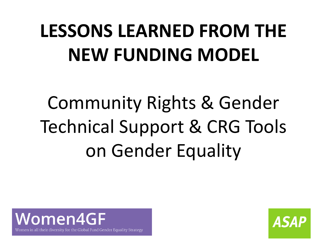# **LESSONS LEARNED FROM THE NEW FUNDING MODEL**

Community Rights & Gender Technical Support & CRG Tools on Gender Equality



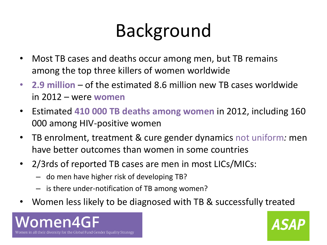# Background

- Most TB cases and deaths occur among men, but TB remains among the top three killers of women worldwide
- **2.9 million**  of the estimated 8.6 million new TB cases worldwide in 2012 – were **women**
- Estimated **410 000 TB deaths among women** in 2012, including 160 000 among HIV-positive women
- TB enrolment, treatment & cure gender dynamics not uniform*:* men have better outcomes than women in some countries
- 2/3rds of reported TB cases are men in most LICs/MICs:
	- do men have higher risk of developing TB?
	- is there under-notification of TB among women?
- Women less likely to be diagnosed with TB & successfully treated



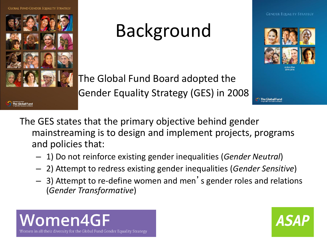

#### Background



The Global Fund Board adopted the • Gender Equality Strategy (GES) in 2008

The Global Fund

- The GES states that the primary objective behind gender mainstreaming is to design and implement projects, programs and policies that:
	- 1) Do not reinforce existing gender inequalities (*Gender Neutral*)
	- 2) Attempt to redress existing gender inequalities (*Gender Sensitive*)
	- 3) Attempt to re-define women and men's gender roles and relations (*Gender Transformative*)



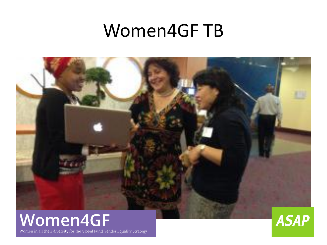#### Women4GF TB





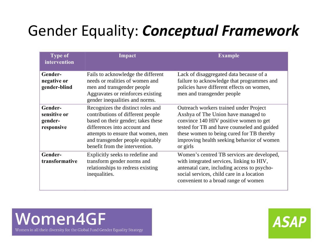#### Gender Equality: *Conceptual Framework*

| <b>Type of</b><br>intervention                   | Impact                                                                                                                                                                                                                                                   | <b>Example</b>                                                                                                                                                                                                                                                                |
|--------------------------------------------------|----------------------------------------------------------------------------------------------------------------------------------------------------------------------------------------------------------------------------------------------------------|-------------------------------------------------------------------------------------------------------------------------------------------------------------------------------------------------------------------------------------------------------------------------------|
| Gender-<br>negative or<br>gender-blind           | Fails to acknowledge the different<br>needs or realities of women and<br>men and transgender people<br>Aggravates or reinforces existing<br>gender inequalities and norms.                                                                               | Lack of disaggregated data because of a<br>failure to acknowledge that programmes and<br>policies have different effects on women,<br>men and transgender people                                                                                                              |
| Gender-<br>sensitive or<br>gender-<br>responsive | Recognizes the distinct roles and<br>contributions of different people<br>based on their gender; takes these<br>differences into account and<br>attempts to ensure that women, men<br>and transgender people equitably<br>benefit from the intervention. | Outreach workers trained under Project<br>Axshya of The Union have managed to<br>convince 140 HIV positive women to get<br>tested for TB and have counseled and guided<br>these women to being cured for TB thereby<br>improving health seeking behavior of women<br>or girls |
| Gender-<br>transformative                        | Explicitly seeks to redefine and<br>transform gender norms and<br>relationships to redress existing<br>inequalities.                                                                                                                                     | Women's centred TB services are developed,<br>with integrated services, linking to HIV,<br>antenatal care, including access to psycho-<br>social services, child care in a location<br>convenient to a broad range of women                                                   |



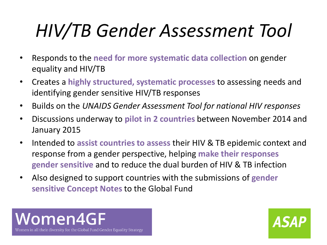# *HIV/TB Gender Assessment Tool*

- Responds to the **need for more systematic data collection** on gender equality and HIV/TB
- Creates a **highly structured, systematic processes** to assessing needs and identifying gender sensitive HIV/TB responses
- Builds on the *UNAIDS Gender Assessment Tool for national HIV responses*
- Discussions underway to **pilot in 2 countries** between November 2014 and January 2015
- Intended to **assist countries to assess** their HIV & TB epidemic context and response from a gender perspective, helping **make their responses gender sensitive** and to reduce the dual burden of HIV & TB infection
- Also designed to support countries with the submissions of **gender sensitive Concept Notes** to the Global Fund



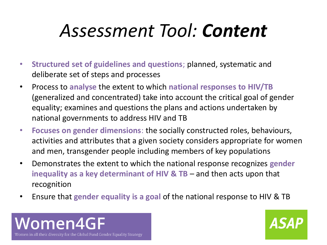## *Assessment Tool: Content*

- **Structured set of guidelines and questions**; planned, systematic and deliberate set of steps and processes
- Process to **analyse** the extent to which **national responses to HIV/TB**  (generalized and concentrated) take into account the critical goal of gender equality; examines and questions the plans and actions undertaken by national governments to address HIV and TB
- **Focuses on gender dimensions**: the socially constructed roles, behaviours, activities and attributes that a given society considers appropriate for women and men, transgender people including members of key populations
- Demonstrates the extent to which the national response recognizes **gender inequality as a key determinant of HIV & TB** – and then acts upon that recognition
- Ensure that **gender equality is a goal** of the national response to HIV & TB



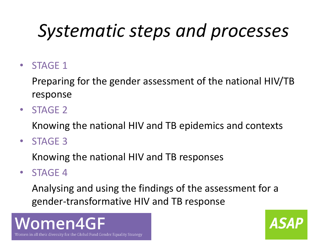# *Systematic steps and processes*

• STAGE 1

Preparing for the gender assessment of the national HIV/TB response

• STAGE 2

Knowing the national HIV and TB epidemics and contexts

• STAGE 3

Knowing the national HIV and TB responses

• STAGE 4

Analysing and using the findings of the assessment for a gender-transformative HIV and TB response

#### Women4GF Women in all their diversity for the Global Fund Gender Equality Strategy

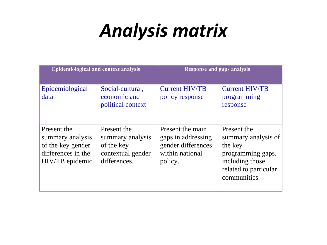### *Analysis matrix*

| <b>Epidemiological and context analysis</b>                                                   |                                                                                    | <b>Response and gaps analysis</b>                                                          |                                                                                                                                |
|-----------------------------------------------------------------------------------------------|------------------------------------------------------------------------------------|--------------------------------------------------------------------------------------------|--------------------------------------------------------------------------------------------------------------------------------|
| Epidemiological<br>data                                                                       | Social-cultural,<br>economic and<br>political context                              | <b>Current HIV/TB</b><br>policy response                                                   | <b>Current HIV/TB</b><br>programming<br>response                                                                               |
| Present the<br>summary analysis<br>of the key gender<br>differences in the<br>HIV/TB epidemic | Present the<br>summary analysis<br>of the key<br>contextual gender<br>differences. | Present the main<br>gaps in addressing<br>gender differences<br>within national<br>policy. | Present the<br>summary analysis of<br>the key<br>programming gaps,<br>including those<br>related to particular<br>communities. |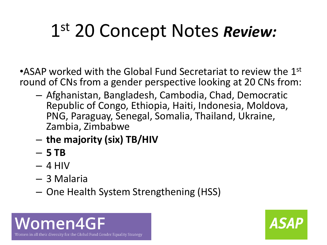# 1 st 20 Concept Notes *Review:*

•ASAP worked with the Global Fund Secretariat to review the  $1<sup>st</sup>$ round of CNs from a gender perspective looking at 20 CNs from:

- Afghanistan, Bangladesh, Cambodia, Chad, Democratic Republic of Congo, Ethiopia, Haiti, Indonesia, Moldova, PNG, Paraguay, Senegal, Somalia, Thailand, Ukraine, Zambia, Zimbabwe
- **the majority (six) TB/HIV**
- **5 TB**
- $-4$  HIV
- 3 Malaria
- One Health System Strengthening (HSS)



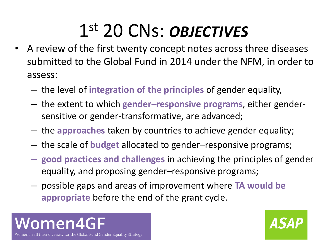# 1 st 20 CNs: *OBJECTIVES*

- A review of the first twenty concept notes across three diseases submitted to the Global Fund in 2014 under the NFM, in order to assess:
	- the level of **integration of the principles** of gender equality,
	- the extent to which **gender–responsive programs**, either gendersensitive or gender-transformative, are advanced;
	- the **approaches** taken by countries to achieve gender equality;
	- the scale of **budget** allocated to gender–responsive programs;
	- **good practices and challenges** in achieving the principles of gender equality, and proposing gender–responsive programs;
	- possible gaps and areas of improvement where **TA would be appropriate** before the end of the grant cycle.



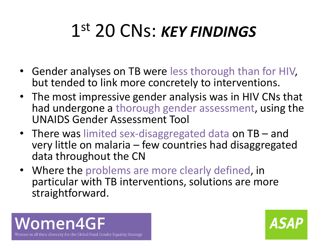## 1 st 20 CNs: *KEY FINDINGS*

- Gender analyses on TB were less thorough than for HIV, but tended to link more concretely to interventions.
- The most impressive gender analysis was in HIV CNs that had undergone a thorough gender assessment, using the UNAIDS Gender Assessment Tool
- There was limited sex-disaggregated data on TB and very little on malaria – few countries had disaggregated data throughout the CN
- Where the problems are more clearly defined, in particular with TB interventions, solutions are more straightforward.